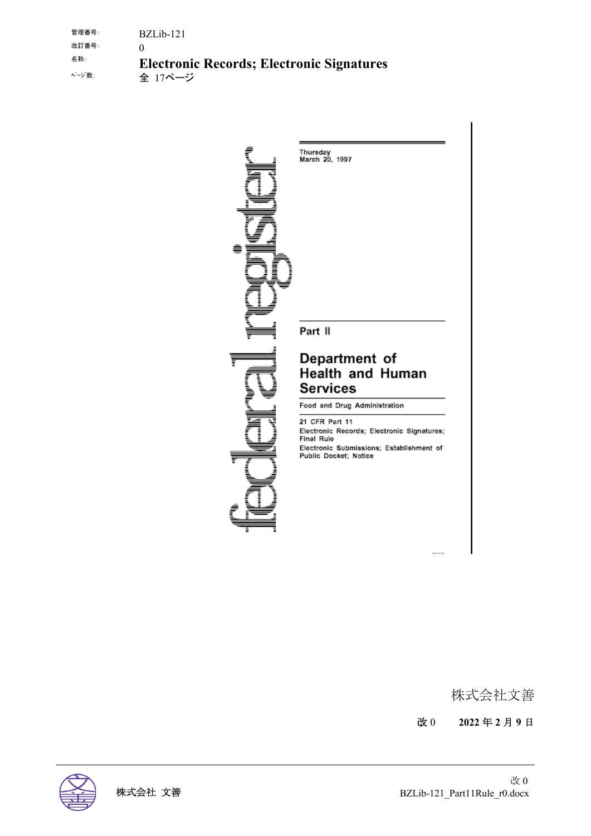管理番号: BZLib-121 改訂番号: () 名称: **Electronic Records; Electronic Signatures** 全 17ページ

> Thursday<br>March 20, 1997 Part II Department of Health and Human **Services** Food and Drug Administration 21 CFR Part 11 Electronic Records; Electronic Signatures;<br>Final Rule Electronic Submissions; Establishment of<br>Public Docket; Notice

> > 株式会社文善

改 0 **2022** 年 **2** 月 **9** 日

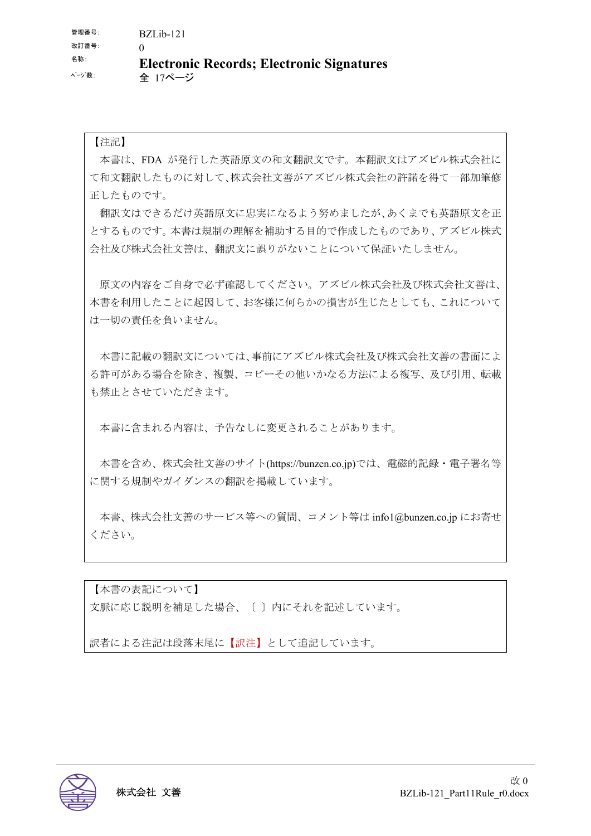#### 【注記】

本書は、FDA が発行した英語原文の和文翻訳文です。本翻訳文はアズビル株式会社に て和文翻訳したものに対して、株式会社文善がアズビル株式会社の許諾を得て一部加筆修 正したものです。

翻訳文はできるだけ英語原文に忠実になるよう努めましたが、あくまでも英語原文を正 とするものです。本書は規制の理解を補助する目的で作成したものであり、アズビル株式 会社及び株式会社文善は、翻訳文に誤りがないことについて保証いたしません。

原文の内容をご自身で必ず確認してください。アズビル株式会社及び株式会社文善は、 本書を利用したことに起因して、お客様に何らかの損害が生じたとしても、これについて は一切の責任を負いません。

本書に記載の翻訳文については、事前にアズビル株式会社及び株式会社文善の書面によ る許可がある場合を除き、複製、コピーその他いかなる方法による複写、及び引用、転載 も禁止とさせていただきます。

本書に含まれる内容は、予告なしに変更されることがあります。

本書を含め、株式会社文善のサイト(https://bunzen.co.jp)では、電磁的記録・電子署名等 に関する規制やガイダンスの翻訳を掲載しています。

本書、株式会社文善のサービス等への質問、コメント等は info1@bunzen.co.jp にお寄せ ください。

【本書の表記について】 文脈に応じ説明を補足した場合、〔 〕内にそれを記述しています。

訳者による注記は段落末尾に【訳注】として追記しています。

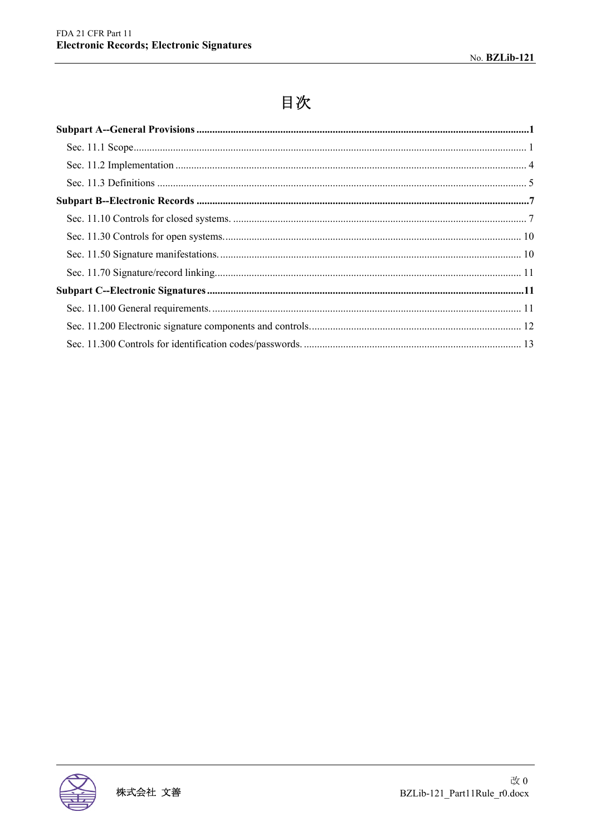# 目次

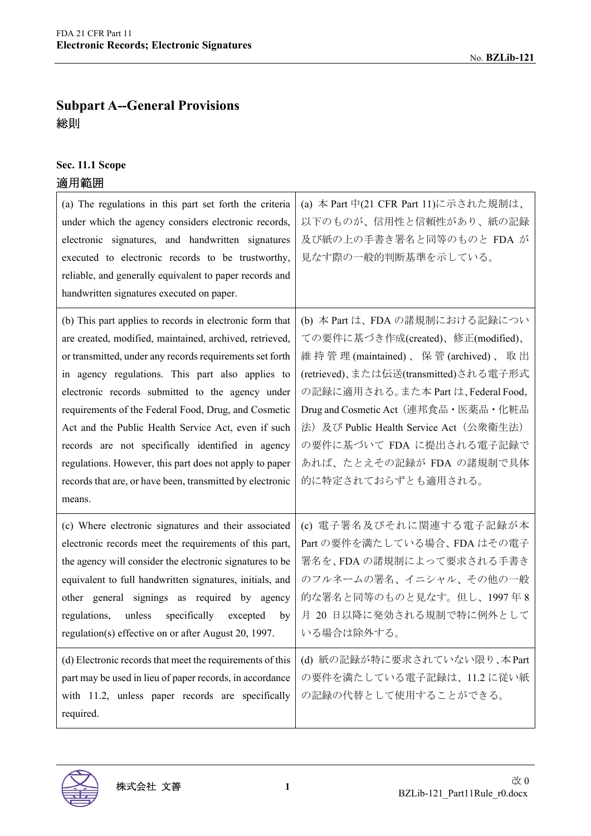# **Subpart A--General Provisions**  総則

# **Sec. 11.1 Scope**

# 適用範囲

| (a) The regulations in this part set forth the criteria<br>under which the agency considers electronic records,<br>electronic signatures, and handwritten signatures<br>executed to electronic records to be trustworthy,<br>reliable, and generally equivalent to paper records and<br>handwritten signatures executed on paper.                                                                                                                                                                                                                                                             | (a) 本 Part 中(21 CFR Part 11)に示された規制は、<br>以下のものが、信用性と信頼性があり、紙の記録<br>及び紙の上の手書き署名と同等のものと FDA が<br>見なす際の一般的判断基準を示している。                                                                                                                                                                                                                                     |
|-----------------------------------------------------------------------------------------------------------------------------------------------------------------------------------------------------------------------------------------------------------------------------------------------------------------------------------------------------------------------------------------------------------------------------------------------------------------------------------------------------------------------------------------------------------------------------------------------|--------------------------------------------------------------------------------------------------------------------------------------------------------------------------------------------------------------------------------------------------------------------------------------------------------------------------------------------------------|
| (b) This part applies to records in electronic form that<br>are created, modified, maintained, archived, retrieved,<br>or transmitted, under any records requirements set forth<br>in agency regulations. This part also applies to<br>electronic records submitted to the agency under<br>requirements of the Federal Food, Drug, and Cosmetic<br>Act and the Public Health Service Act, even if such<br>records are not specifically identified in agency<br>regulations. However, this part does not apply to paper<br>records that are, or have been, transmitted by electronic<br>means. | (b) 本 Part は、FDA の諸規制における記録につい<br>ての要件に基づき作成(created)、修正(modified)、<br>維持管理(maintained)、保管(archived)、取出<br>(retrieved)、または伝送(transmitted)される電子形式<br>の記録に適用される。また本 Part は、Federal Food,<br>Drug and Cosmetic Act (連邦食品·医薬品·化粧品<br>法) 及び Public Health Service Act (公衆衛生法)<br>の要件に基づいて FDA に提出される電子記録で<br>あれば、たとえその記録が FDA の諸規制で具体<br>的に特定されておらずとも適用される。 |
| (c) Where electronic signatures and their associated<br>electronic records meet the requirements of this part,<br>the agency will consider the electronic signatures to be<br>equivalent to full handwritten signatures, initials, and<br>other general signings as required by agency<br>specifically<br>regulations,<br>unless<br>excepted<br>by<br>regulation(s) effective on or after August 20, 1997.<br>(d) Electronic records that meet the requirements of this<br>part may be used in lieu of paper records, in accordance<br>with 11.2, unless paper records are specifically       | (c) 電子署名及びそれに関連する電子記録が本<br>Part の要件を満たしている場合、FDA はその電子<br>署名を、FDA の諸規制によって要求される手書き<br>のフルネームの署名、イニシャル、その他の一般<br>的な署名と同等のものと見なす。但し、1997年8<br>月 20 日以降に発効される規制で特に例外として<br>いる場合は除外する。<br>(d) 紙の記録が特に要求されていない限り、本Part<br>の要件を満たしている電子記録は、11.2に従い紙<br>の記録の代替として使用することができる。                                                                                  |
| required.                                                                                                                                                                                                                                                                                                                                                                                                                                                                                                                                                                                     |                                                                                                                                                                                                                                                                                                                                                        |

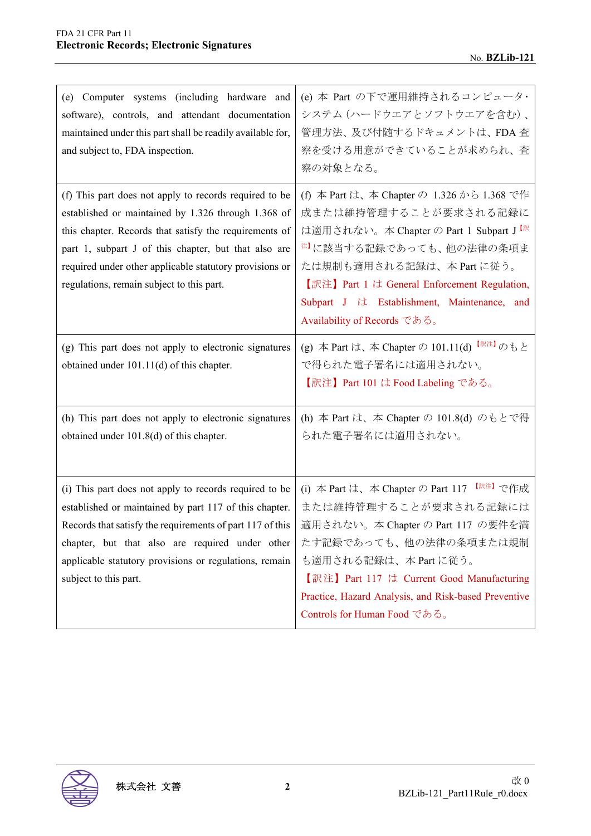| (e) Computer systems (including hardware and<br>software), controls, and attendant documentation<br>maintained under this part shall be readily available for,<br>and subject to, FDA inspection.                                                                                                                                       | (e) 本 Part の下で運用維持されるコンピュータ・<br>システム (ハードウエアとソフトウエアを含む)、<br>管理方法、及び付随するドキュメントは、FDA 査<br>察を受ける用意ができていることが求められ、査<br>察の対象となる。                                                                                                                                                                                                    |
|-----------------------------------------------------------------------------------------------------------------------------------------------------------------------------------------------------------------------------------------------------------------------------------------------------------------------------------------|-------------------------------------------------------------------------------------------------------------------------------------------------------------------------------------------------------------------------------------------------------------------------------------------------------------------------------|
| (f) This part does not apply to records required to be<br>established or maintained by 1.326 through 1.368 of<br>this chapter. Records that satisfy the requirements of<br>part 1, subpart J of this chapter, but that also are<br>required under other applicable statutory provisions or<br>regulations, remain subject to this part. | (f) 本 Part は、本 Chapter の 1.326 から 1.368 で作<br>成または維持管理することが要求される記録に<br>は適用されない。本 Chapter の Part 1 Subpart J <sup>【訳</sup><br><sup>注】</sup> に該当する記録であっても、他の法律の条項ま<br>たは規制も適用される記録は、本 Part に従う。<br>【訳注】 Part 1 は General Enforcement Regulation,<br>Subpart J は Establishment, Maintenance, and<br>Availability of Records である。 |
| (g) This part does not apply to electronic signatures<br>obtained under 101.11(d) of this chapter.                                                                                                                                                                                                                                      | (g) 本 Part は、本 Chapter の 101.11(d) 【訳注】のもと<br>で得られた電子署名には適用されない。<br>【訳注】Part 101 は Food Labeling である。                                                                                                                                                                                                                         |
| (h) This part does not apply to electronic signatures<br>obtained under 101.8(d) of this chapter.                                                                                                                                                                                                                                       | (h) 本 Part は、本 Chapter の 101.8(d) のもとで得<br>られた電子署名には適用されない。                                                                                                                                                                                                                                                                   |
| (i) This part does not apply to records required to be<br>established or maintained by part 117 of this chapter.<br>Records that satisfy the requirements of part 117 of this<br>chapter, but that also are required under other<br>applicable statutory provisions or regulations, remain<br>subject to this part.                     | (i) 本 Part は、本 Chapter の Part 117 【 <sup>訳注】</sup> で作成<br>または維持管理することが要求される記録には<br>適用されない。本 Chapter の Part 117 の要件を満<br>たす記録であっても、他の法律の条項または規制<br>も適用される記録は、本 Part に従う。<br>【訳注】Part 117 は Current Good Manufacturing<br>Practice, Hazard Analysis, and Risk-based Preventive<br>Controls for Human Food である。                  |

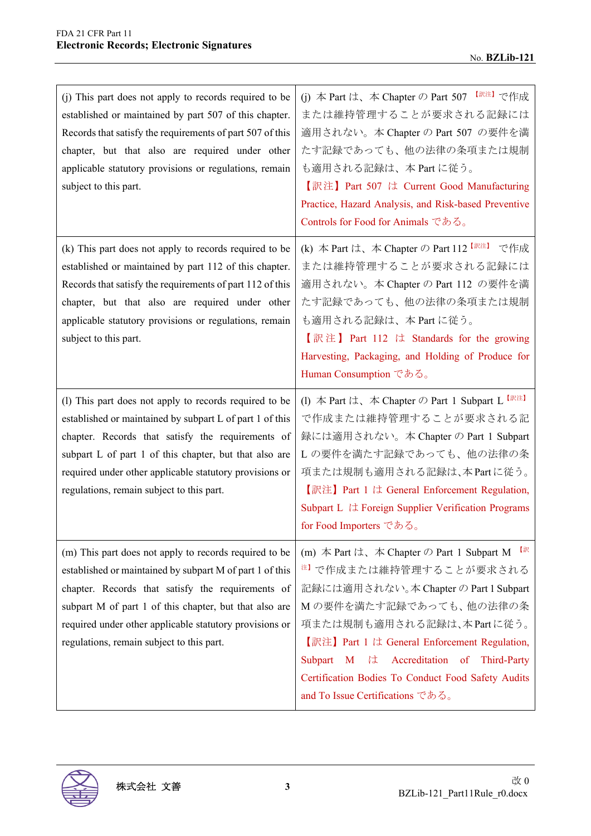| (j) This part does not apply to records required to be<br>established or maintained by part 507 of this chapter.<br>Records that satisfy the requirements of part 507 of this<br>chapter, but that also are required under other<br>applicable statutory provisions or regulations, remain<br>subject to this part.                       | (j) 本 Part は、本 Chapter の Part 507 [ <sup>訳注]</sup> で作成<br>または維持管理することが要求される記録には<br>適用されない。本 Chapter の Part 507 の要件を満<br>たす記録であっても、他の法律の条項または規制<br>も適用される記録は、本 Part に従う。<br>【訳注】Part 507 は Current Good Manufacturing<br>Practice, Hazard Analysis, and Risk-based Preventive<br>Controls for Food for Animals である。                                                                                                        |
|-------------------------------------------------------------------------------------------------------------------------------------------------------------------------------------------------------------------------------------------------------------------------------------------------------------------------------------------|---------------------------------------------------------------------------------------------------------------------------------------------------------------------------------------------------------------------------------------------------------------------------------------------------------------------------------------------------------------------------------------------------------------------------|
| (k) This part does not apply to records required to be<br>established or maintained by part 112 of this chapter.<br>Records that satisfy the requirements of part 112 of this<br>chapter, but that also are required under other<br>applicable statutory provisions or regulations, remain<br>subject to this part.                       | (k) 本 Part は、本 Chapter の Part 112 <sup>【訳注】</sup> で作成<br>または維持管理することが要求される記録には<br>適用されない。本 Chapter の Part 112 の要件を満<br>たす記録であっても、他の法律の条項または規制<br>も適用される記録は、本 Part に従う。<br>【訳注】 Part 112 は Standards for the growing<br>Harvesting, Packaging, and Holding of Produce for<br>Human Consumption である。                                                                                                                        |
| (l) This part does not apply to records required to be<br>established or maintained by subpart L of part 1 of this<br>chapter. Records that satisfy the requirements of<br>subpart L of part 1 of this chapter, but that also are<br>required under other applicable statutory provisions or<br>regulations, remain subject to this part. | (1) $\#$ Part $\forall x, \#$ Chapter $\oslash$ Part 1 Subpart L [<br>で作成または維持管理することが要求される記<br>録には適用されない。本 Chapter の Part 1 Subpart<br>Lの要件を満たす記録であっても、他の法律の条<br>項または規制も適用される記録は、本Partに従う。<br>【訳注】Part 1 は General Enforcement Regulation,<br>Subpart L <i>i</i> $\pm$ Foreign Supplier Verification Programs<br>for Food Importers である。                                                                                  |
| (m) This part does not apply to records required to be<br>established or maintained by subpart M of part 1 of this<br>chapter. Records that satisfy the requirements of<br>subpart M of part 1 of this chapter, but that also are<br>required under other applicable statutory provisions or<br>regulations, remain subject to this part. | 【訳<br>(m) $\#$ Part $\forall x$ , $\#$ Chapter $\oslash$ Part 1 Subpart M<br><sup>注】</sup> で作成または維持管理することが要求される<br>記録には適用されない。本 Chapter の Part 1 Subpart<br>Mの要件を満たす記録であっても、他の法律の条<br>項または規制も適用される記録は、本Partに従う。<br>【訳注】Part 1 は General Enforcement Regulation,<br>Accreditation of Third-Party<br>Subpart<br>$\mathbf{M}$<br>は<br>Certification Bodies To Conduct Food Safety Audits<br>and To Issue Certifications である。 |

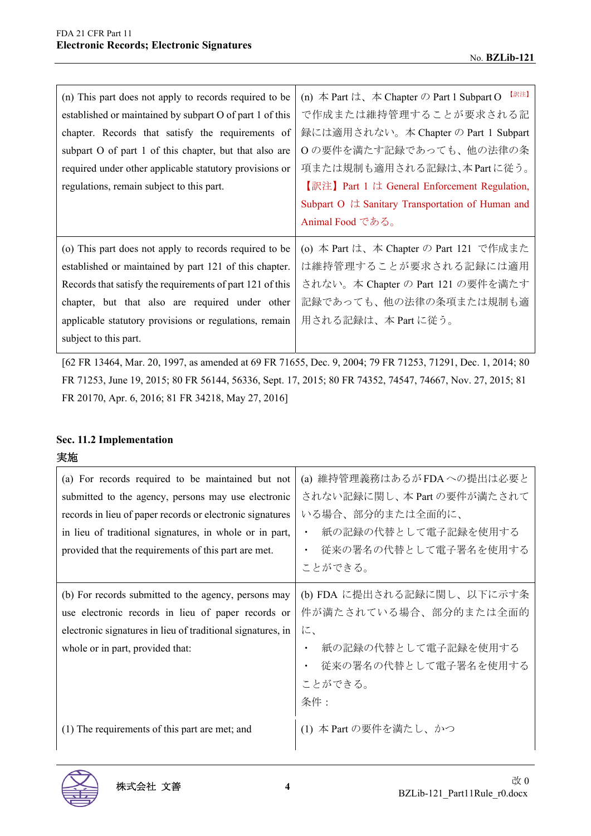| (n) This part does not apply to records required to be<br>established or maintained by subpart O of part 1 of this<br>chapter. Records that satisfy the requirements of<br>subpart O of part 1 of this chapter, but that also are<br>required under other applicable statutory provisions or<br>regulations, remain subject to this part. | 【訳注】<br>(n) $\#$ Part $\forall x, \#$ Chapter $\oslash$ Part 1 Subpart O<br>で作成または維持管理することが要求される記<br>録には適用されない。本 Chapter の Part 1 Subpart<br>Oの要件を満たす記録であっても、他の法律の条<br>項または規制も適用される記録は、本Partに従う。<br>【訳注】 Part 1 は General Enforcement Regulation,<br>Subpart O は Sanitary Transportation of Human and<br>Animal Food である。 |
|-------------------------------------------------------------------------------------------------------------------------------------------------------------------------------------------------------------------------------------------------------------------------------------------------------------------------------------------|---------------------------------------------------------------------------------------------------------------------------------------------------------------------------------------------------------------------------------------------------------------------------------------------------------------------------|
| (o) This part does not apply to records required to be<br>established or maintained by part 121 of this chapter.<br>Records that satisfy the requirements of part 121 of this<br>chapter, but that also are required under other<br>applicable statutory provisions or regulations, remain<br>subject to this part.                       | (o) 本 Part は、本 Chapter の Part 121 で作成また<br>は維持管理することが要求される記録には適用<br>されない。本 Chapter の Part 121 の要件を満たす<br>記録であっても、他の法律の条項または規制も適<br>用される記録は、本 Part に従う。                                                                                                                                                                    |

[62 FR 13464, Mar. 20, 1997, as amended at 69 FR 71655, Dec. 9, 2004; 79 FR 71253, 71291, Dec. 1, 2014; 80 FR 71253, June 19, 2015; 80 FR 56144, 56336, Sept. 17, 2015; 80 FR 74352, 74547, 74667, Nov. 27, 2015; 81 FR 20170, Apr. 6, 2016; 81 FR 34218, May 27, 2016]

# **Sec. 11.2 Implementation**

#### 実施

| (a) For records required to be maintained but not<br>submitted to the agency, persons may use electronic<br>records in lieu of paper records or electronic signatures<br>in lieu of traditional signatures, in whole or in part,<br>provided that the requirements of this part are met. | (a) 維持管理義務はあるがFDAへの提出は必要と<br>されない記録に関し、本 Part の要件が満たされて<br>いる場合、部分的または全面的に、<br>紙の記録の代替として電子記録を使用する<br>従来の署名の代替として電子署名を使用する<br>ことができる。 |
|------------------------------------------------------------------------------------------------------------------------------------------------------------------------------------------------------------------------------------------------------------------------------------------|---------------------------------------------------------------------------------------------------------------------------------------|
| (b) For records submitted to the agency, persons may<br>use electronic records in lieu of paper records or<br>electronic signatures in lieu of traditional signatures, in<br>whole or in part, provided that:                                                                            | (b) FDA に提出される記録に関し、以下に示す条<br>件が満たされている場合、部分的または全面的<br>に、<br>紙の記録の代替として電子記録を使用する<br>従来の署名の代替として電子署名を使用する<br>ことができる。<br>条件:            |
| (1) The requirements of this part are met; and                                                                                                                                                                                                                                           | (1) 本 Part の要件を満たし、かつ                                                                                                                 |

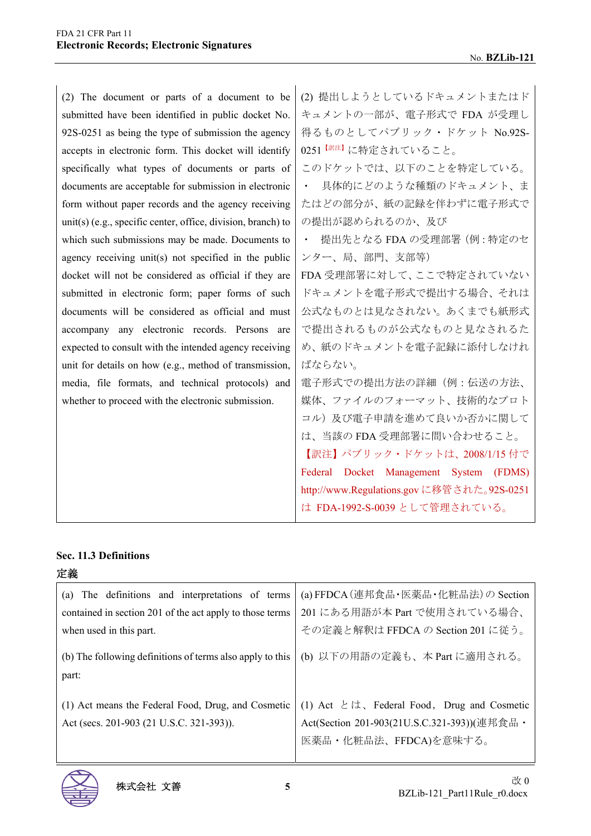| (2) The document or parts of a document to be                | (2) 提出しようとしているドキュメントまたはド                  |
|--------------------------------------------------------------|-------------------------------------------|
|                                                              |                                           |
| submitted have been identified in public docket No.          | キュメントの一部が、電子形式で FDA が受理し                  |
| 92S-0251 as being the type of submission the agency          | 得るものとしてパブリック・ドケット No.92S-                 |
| accepts in electronic form. This docket will identify        | 0251 <sup>【訳注】</sup> に特定されていること。          |
| specifically what types of documents or parts of             | このドケットでは、以下のことを特定している。                    |
| documents are acceptable for submission in electronic        | 具体的にどのような種類のドキュメント、ま                      |
| form without paper records and the agency receiving          | たはどの部分が、紙の記録を伴わずに電子形式で                    |
| unit(s) (e.g., specific center, office, division, branch) to | の提出が認められるのか、及び                            |
| which such submissions may be made. Documents to             | 提出先となる FDA の受理部署 (例:特定のセ<br>$\bullet$     |
| agency receiving unit(s) not specified in the public         | ンター、局、部門、支部等)                             |
| docket will not be considered as official if they are        | FDA 受理部署に対して、ここで特定されていない                  |
| submitted in electronic form; paper forms of such            | ドキュメントを電子形式で提出する場合、それは                    |
| documents will be considered as official and must            | 公式なものとは見なされない。あくまでも紙形式                    |
| accompany any electronic records. Persons are                | で提出されるものが公式なものと見なされるた                     |
| expected to consult with the intended agency receiving       | め、紙のドキュメントを電子記録に添付しなけれ                    |
| unit for details on how (e.g., method of transmission,       | ばならない。                                    |
| media, file formats, and technical protocols) and            | 電子形式での提出方法の詳細(例:伝送の方法、                    |
| whether to proceed with the electronic submission.           | 媒体、ファイルのフォーマット、技術的なプロト                    |
|                                                              | コル)及び電子申請を進めて良いか否かに関して                    |
|                                                              | は、当該の FDA 受理部署に問い合わせること。                  |
|                                                              | 【訳注】 パブリック・ドケットは、2008/1/15 付で             |
|                                                              | Federal Docket Management System (FDMS)   |
|                                                              | http://www.Regulations.govに移管された。92S-0251 |
|                                                              | は FDA-1992-S-0039 として管理されている。             |
|                                                              |                                           |

#### **Sec. 11.3 Definitions**

| 定義                                                                                             |                                                                                                                           |
|------------------------------------------------------------------------------------------------|---------------------------------------------------------------------------------------------------------------------------|
| The definitions and interpretations of terms<br>(a)                                            | (a) FFDCA (連邦食品・医薬品・化粧品法) の Section                                                                                       |
| contained in section 201 of the act apply to those terms                                       | 201 にある用語が本 Part で使用されている場合、                                                                                              |
| when used in this part.                                                                        | その定義と解釈は FFDCA の Section 201 に従う。                                                                                         |
| (b) The following definitions of terms also apply to this<br>part:                             | (b) 以下の用語の定義も、本 Part に適用される。                                                                                              |
| (1) Act means the Federal Food, Drug, and Cosmetic<br>Act (secs. 201-903 (21 U.S.C. 321-393)). | (1) Act $\xi$ it, Federal Food, Drug and Cosmetic<br>Act(Section 201-903(21U.S.C.321-393))(連邦食品·<br>医薬品・化粧品法、FFDCA)を意味する。 |

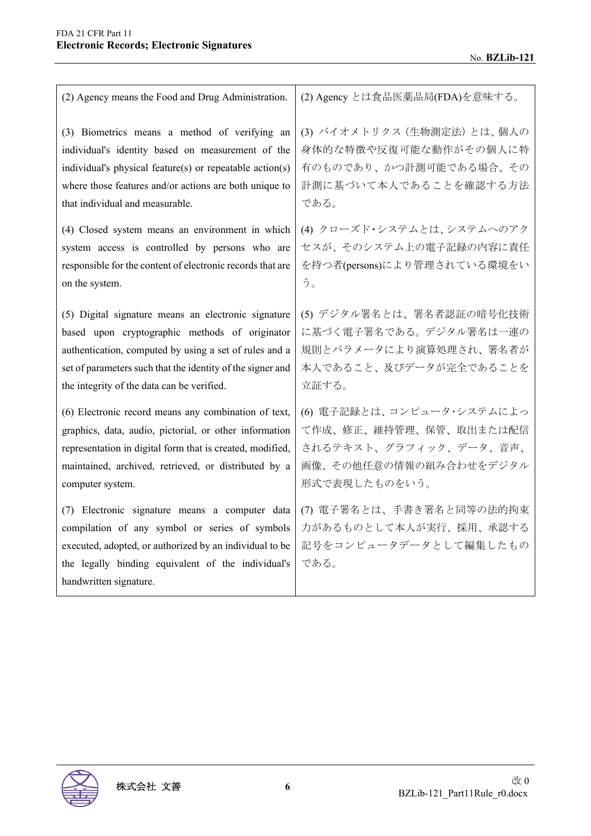| (2) Agency means the Food and Drug Administration.                                                                                                                                                                                          | (2) Agency とは食品医薬品局(FDA)を意味する。                                                      |
|---------------------------------------------------------------------------------------------------------------------------------------------------------------------------------------------------------------------------------------------|-------------------------------------------------------------------------------------|
| (3) Biometrics means a method of verifying an                                                                                                                                                                                               | (3) バイオメトリクス (生物測定法) とは、個人の                                                         |
| individual's identity based on measurement of the                                                                                                                                                                                           | 身体的な特徴や反復可能な動作がその個人に特                                                               |
| individual's physical feature(s) or repeatable action(s)                                                                                                                                                                                    | 有のものであり、かつ計測可能である場合、その                                                              |
| where those features and/or actions are both unique to                                                                                                                                                                                      | 計測に基づいて本人であることを確認する方法                                                               |
| that individual and measurable.                                                                                                                                                                                                             | である。                                                                                |
| (4) Closed system means an environment in which                                                                                                                                                                                             | (4) クローズド・システムとは、システムへのアク                                                           |
| system access is controlled by persons who are                                                                                                                                                                                              | セスが、そのシステム上の電子記録の内容に責任                                                              |
| responsible for the content of electronic records that are                                                                                                                                                                                  | を持つ者(persons)により管理されている環境をい                                                         |
| on the system.                                                                                                                                                                                                                              | う。                                                                                  |
| (5) Digital signature means an electronic signature                                                                                                                                                                                         | (5) デジタル署名とは、署名者認証の暗号化技術                                                            |
| based upon cryptographic methods of originator                                                                                                                                                                                              | に基づく電子署名である。デジタル署名は一連の                                                              |
| authentication, computed by using a set of rules and a                                                                                                                                                                                      | 規則とパラメータにより演算処理され、署名者が                                                              |
| set of parameters such that the identity of the signer and                                                                                                                                                                                  | 本人であること、及びデータが完全であることを                                                              |
| the integrity of the data can be verified.                                                                                                                                                                                                  | 立証する。                                                                               |
| (6) Electronic record means any combination of text,                                                                                                                                                                                        | (6) 電子記録とは、コンピュータ・システムによっ                                                           |
| graphics, data, audio, pictorial, or other information                                                                                                                                                                                      | て作成、修正、維持管理、保管、取出または配信                                                              |
| representation in digital form that is created, modified,                                                                                                                                                                                   | されるテキスト、グラフィック、データ、音声、                                                              |
| maintained, archived, retrieved, or distributed by a                                                                                                                                                                                        | 画像、その他任意の情報の組み合わせをデジタル                                                              |
| computer system.                                                                                                                                                                                                                            | 形式で表現したものをいう。                                                                       |
| (7) Electronic signature means a computer data<br>compilation of any symbol or series of symbols<br>executed, adopted, or authorized by an individual to be<br>the legally binding equivalent of the individual's<br>handwritten signature. | (7) 電子署名とは、手書き署名と同等の法的拘束<br>力があるものとして本人が実行、採用、承認する<br>記号をコンピュータデータとして編集したもの<br>である。 |

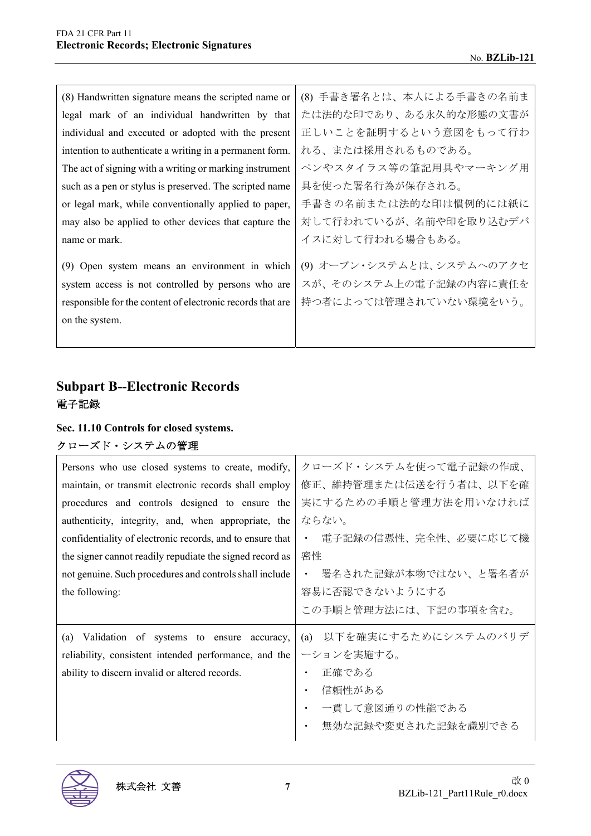| (8) Handwritten signature means the scripted name or                                                                                                                                | (8) 手書き署名とは、本人による手書きの名前ま                                                      |
|-------------------------------------------------------------------------------------------------------------------------------------------------------------------------------------|-------------------------------------------------------------------------------|
| legal mark of an individual handwritten by that                                                                                                                                     | たは法的な印であり、ある永久的な形態の文書が                                                        |
| individual and executed or adopted with the present                                                                                                                                 | 正しいことを証明するという意図をもって行わ                                                         |
| intention to authenticate a writing in a permanent form.                                                                                                                            | れる、または採用されるものである。                                                             |
| The act of signing with a writing or marking instrument                                                                                                                             | ペンやスタイラス等の筆記用具やマーキング用                                                         |
| such as a pen or stylus is preserved. The scripted name                                                                                                                             | 具を使った署名行為が保存される。                                                              |
| or legal mark, while conventionally applied to paper,                                                                                                                               | 手書きの名前または法的な印は慣例的には紙に                                                         |
| may also be applied to other devices that capture the                                                                                                                               | 対して行われているが、名前や印を取り込むデバ                                                        |
| name or mark.                                                                                                                                                                       | イスに対して行われる場合もある。                                                              |
| (9) Open system means an environment in which<br>system access is not controlled by persons who are<br>responsible for the content of electronic records that are<br>on the system. | (9) オープン・システムとは、システムへのアクセ<br>スが、そのシステム上の電子記録の内容に責任を<br>持つ者によっては管理されていない環境をいう。 |
|                                                                                                                                                                                     |                                                                               |

# **Subpart B--Electronic Records**  電子記録

# **Sec. 11.10 Controls for closed systems.**

# クローズド・システムの管理

| Persons who use closed systems to create, modify,<br>maintain, or transmit electronic records shall employ<br>procedures and controls designed to ensure the<br>authenticity, integrity, and, when appropriate, the<br>confidentiality of electronic records, and to ensure that<br>the signer cannot readily repudiate the signed record as<br>not genuine. Such procedures and controls shall include<br>the following: | クローズド・システムを使って電子記録の作成、<br>修正、維持管理または伝送を行う者は、以下を確<br>実にするための手順と管理方法を用いなければ<br>ならない。<br>電子記録の信憑性、完全性、必要に応じて機<br>$\bullet$<br>密性<br>署名された記録が本物ではない、と署名者が<br>容易に否認できないようにする<br>この手順と管理方法には、下記の事項を含む。 |
|---------------------------------------------------------------------------------------------------------------------------------------------------------------------------------------------------------------------------------------------------------------------------------------------------------------------------------------------------------------------------------------------------------------------------|--------------------------------------------------------------------------------------------------------------------------------------------------------------------------------------------------|
| (a) Validation of systems to ensure accuracy,<br>reliability, consistent intended performance, and the<br>ability to discern invalid or altered records.                                                                                                                                                                                                                                                                  | (a) 以下を確実にするためにシステムのバリデ<br>ーションを実施する。<br>正確である<br>信頼性がある<br>٠<br>一貫して意図通りの性能である<br>無効な記録や変更された記録を識別できる<br>$\bullet$                                                                              |

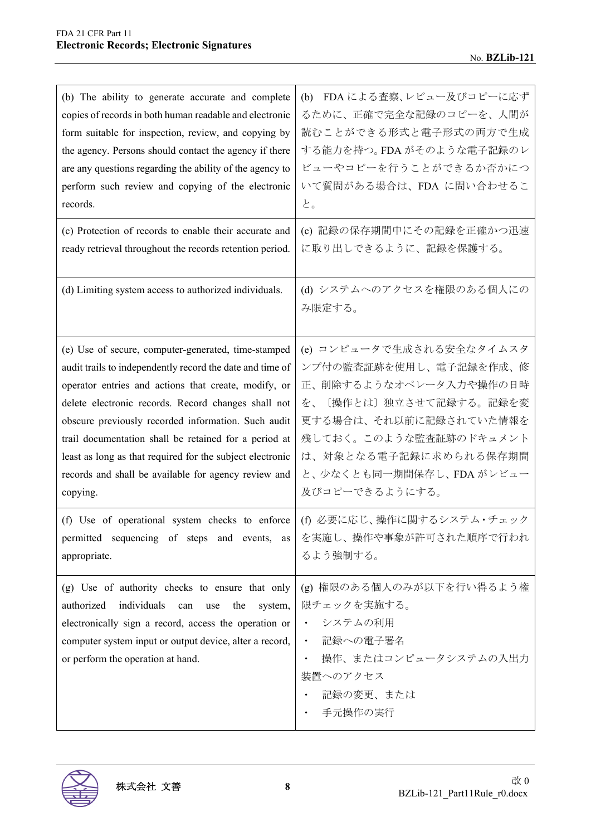| (b) The ability to generate accurate and complete                                                                                                                                                                                                                                                                                                                                                                                                                                | (b) FDA による査察、レビュー及びコピーに応ず                                                                                                                                                                                                             |
|----------------------------------------------------------------------------------------------------------------------------------------------------------------------------------------------------------------------------------------------------------------------------------------------------------------------------------------------------------------------------------------------------------------------------------------------------------------------------------|----------------------------------------------------------------------------------------------------------------------------------------------------------------------------------------------------------------------------------------|
| copies of records in both human readable and electronic                                                                                                                                                                                                                                                                                                                                                                                                                          | るために、正確で完全な記録のコピーを、人間が                                                                                                                                                                                                                 |
| form suitable for inspection, review, and copying by                                                                                                                                                                                                                                                                                                                                                                                                                             | 読むことができる形式と電子形式の両方で生成                                                                                                                                                                                                                  |
| the agency. Persons should contact the agency if there                                                                                                                                                                                                                                                                                                                                                                                                                           | する能力を持つ。FDA がそのような電子記録のレ                                                                                                                                                                                                               |
| are any questions regarding the ability of the agency to                                                                                                                                                                                                                                                                                                                                                                                                                         | ビューやコピーを行うことができるか否かにつ                                                                                                                                                                                                                  |
| perform such review and copying of the electronic                                                                                                                                                                                                                                                                                                                                                                                                                                | いて質問がある場合は、FDA に問い合わせるこ                                                                                                                                                                                                                |
| records.                                                                                                                                                                                                                                                                                                                                                                                                                                                                         | と。                                                                                                                                                                                                                                     |
| (c) Protection of records to enable their accurate and                                                                                                                                                                                                                                                                                                                                                                                                                           | (c) 記録の保存期間中にその記録を正確かつ迅速                                                                                                                                                                                                               |
| ready retrieval throughout the records retention period.                                                                                                                                                                                                                                                                                                                                                                                                                         | に取り出しできるように、記録を保護する。                                                                                                                                                                                                                   |
| (d) Limiting system access to authorized individuals.                                                                                                                                                                                                                                                                                                                                                                                                                            | (d) システムへのアクセスを権限のある個人にの<br>み限定する。                                                                                                                                                                                                     |
| (e) Use of secure, computer-generated, time-stamped<br>audit trails to independently record the date and time of<br>operator entries and actions that create, modify, or<br>delete electronic records. Record changes shall not<br>obscure previously recorded information. Such audit<br>trail documentation shall be retained for a period at<br>least as long as that required for the subject electronic<br>records and shall be available for agency review and<br>copying. | (e) コンピュータで生成される安全なタイムスタ<br>ンプ付の監査証跡を使用し、電子記録を作成、修<br>正、削除するようなオペレータ入力や操作の日時<br>[操作とは] 独立させて記録する。記録を変<br>を、<br>更する場合は、それ以前に記録されていた情報を<br>残しておく。このような監査証跡のドキュメント<br>は、対象となる電子記録に求められる保存期間<br>と、少なくとも同一期間保存し、FDA がレビュー<br>及びコピーできるようにする。 |
| (f) Use of operational system checks to enforce                                                                                                                                                                                                                                                                                                                                                                                                                                  | (f) 必要に応じ、操作に関するシステム·チェック                                                                                                                                                                                                              |
| permitted sequencing of steps and events, as                                                                                                                                                                                                                                                                                                                                                                                                                                     | を実施し、操作や事象が許可された順序で行われ                                                                                                                                                                                                                 |
| appropriate.                                                                                                                                                                                                                                                                                                                                                                                                                                                                     | るよう強制する。                                                                                                                                                                                                                               |
| (g) Use of authority checks to ensure that only<br>individuals<br>authorized<br>can<br>the<br>system,<br>use<br>electronically sign a record, access the operation or<br>computer system input or output device, alter a record,<br>or perform the operation at hand.                                                                                                                                                                                                            | (g) 権限のある個人のみが以下を行い得るよう権<br>限チェックを実施する。<br>システムの利用<br>$\bullet$ . $\bullet$<br>記録への電子署名<br>$\bullet$ .<br>操作、またはコンピュータシステムの入出力<br>$\bullet$<br>装置へのアクセス<br>記録の変更、または<br>手元操作の実行                                                        |

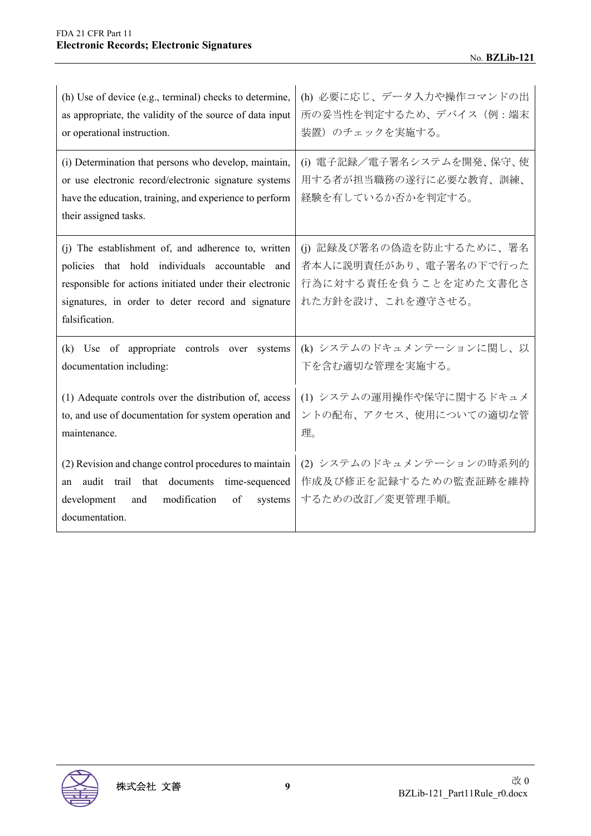| (h) Use of device (e.g., terminal) checks to determine,                                                                                                                                                                                   | (h) 必要に応じ、データ入力や操作コマンドの出                                                                         |
|-------------------------------------------------------------------------------------------------------------------------------------------------------------------------------------------------------------------------------------------|--------------------------------------------------------------------------------------------------|
| as appropriate, the validity of the source of data input                                                                                                                                                                                  | 所の妥当性を判定するため、デバイス(例:端末                                                                           |
| or operational instruction.                                                                                                                                                                                                               | 装置)のチェックを実施する。                                                                                   |
| (i) Determination that persons who develop, maintain,<br>or use electronic record/electronic signature systems<br>have the education, training, and experience to perform<br>their assigned tasks.                                        | (i) 電子記録/電子署名システムを開発、保守、使<br>用する者が担当職務の遂行に必要な教育、訓練、<br>経験を有しているか否かを判定する。                         |
| (i) The establishment of, and adherence to, written<br>policies that hold individuals accountable and<br>responsible for actions initiated under their electronic<br>signatures, in order to deter record and signature<br>falsification. | (i) 記録及び署名の偽造を防止するために、署名<br>者本人に説明責任があり、電子署名の下で行った<br>行為に対する責任を負うことを定めた文書化さ<br>れた方針を設け、これを遵守させる。 |
| (k) Use of appropriate controls over systems                                                                                                                                                                                              | (k) システムのドキュメンテーションに関し、以                                                                         |
| documentation including:                                                                                                                                                                                                                  | 下を含む適切な管理を実施する。                                                                                  |
| (1) Adequate controls over the distribution of, access                                                                                                                                                                                    | (1) システムの運用操作や保守に関するドキュメ                                                                         |
| to, and use of documentation for system operation and                                                                                                                                                                                     | ントの配布、アクセス、使用についての適切な管                                                                           |
| maintenance.                                                                                                                                                                                                                              | 理。                                                                                               |
| (2) Revision and change control procedures to maintain<br>audit trail that documents<br>time-sequenced<br>an<br>development<br>and<br>modification<br>of<br>systems<br>documentation.                                                     | (2) システムのドキュメンテーションの時系列的<br>作成及び修正を記録するための監査証跡を維持<br>するための改訂/変更管理手順。                             |

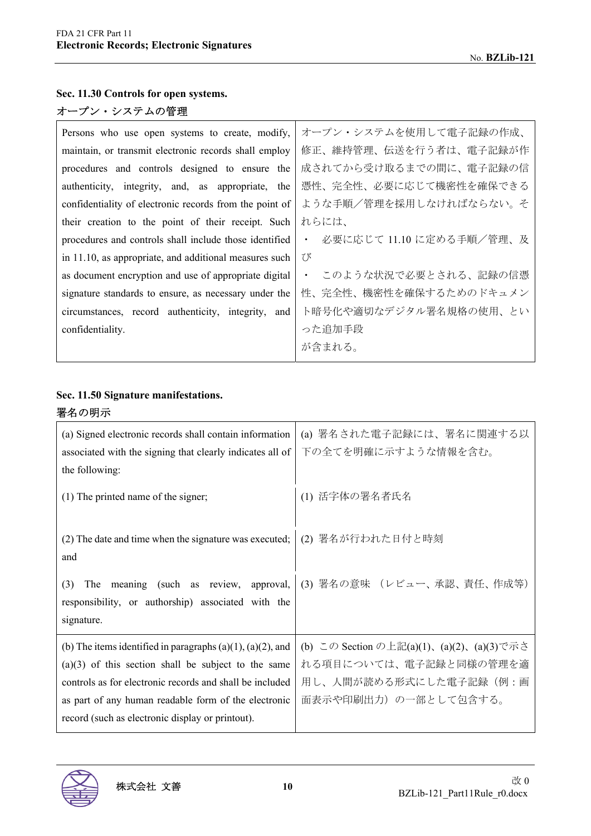## **Sec. 11.30 Controls for open systems.**

## オープン・システムの管理

| オープン・システムを使用して電子記録の作成、                                                                                                                                                                                                                                                                                                            |
|-----------------------------------------------------------------------------------------------------------------------------------------------------------------------------------------------------------------------------------------------------------------------------------------------------------------------------------|
| 修正、維持管理、伝送を行う者は、電子記録が作                                                                                                                                                                                                                                                                                                            |
| 成されてから受け取るまでの間に、電子記録の信                                                                                                                                                                                                                                                                                                            |
| 憑性、完全性、必要に応じて機密性を確保できる                                                                                                                                                                                                                                                                                                            |
| ような手順/管理を採用しなければならない。そ<br>confidentiality of electronic records from the point of                                                                                                                                                                                                                                                 |
| れらには、<br>their creation to the point of their receipt. Such                                                                                                                                                                                                                                                                       |
| 必要に応じて 11.10 に定める手順/管理、及<br>procedures and controls shall include those identified<br>$\bullet$                                                                                                                                                                                                                                   |
| び<br>in 11.10, as appropriate, and additional measures such                                                                                                                                                                                                                                                                       |
| ・ このような状況で必要とされる、記録の信憑                                                                                                                                                                                                                                                                                                            |
| 性、完全性、機密性を確保するためのドキュメン                                                                                                                                                                                                                                                                                                            |
| ト暗号化や適切なデジタル署名規格の使用、とい<br>circumstances, record authenticity, integrity, and                                                                                                                                                                                                                                                      |
| った追加手段                                                                                                                                                                                                                                                                                                                            |
| が含まれる。                                                                                                                                                                                                                                                                                                                            |
| Persons who use open systems to create, modify,<br>maintain, or transmit electronic records shall employ<br>procedures and controls designed to ensure the<br>authenticity, integrity, and, as appropriate, the<br>as document encryption and use of appropriate digital<br>signature standards to ensure, as necessary under the |

#### **Sec. 11.50 Signature manifestations.**

## 署名の明示

| (a) Signed electronic records shall contain information<br>associated with the signing that clearly indicates all of | (a) 署名された電子記録には、署名に関連する以<br>下の全てを明確に示すような情報を含む。 |
|----------------------------------------------------------------------------------------------------------------------|-------------------------------------------------|
| the following:                                                                                                       |                                                 |
| (1) The printed name of the signer;                                                                                  | (1) 活字体の署名者氏名                                   |
| (2) The date and time when the signature was executed;<br>and                                                        | (2) 署名が行われた日付と時刻                                |
| The meaning (such as review, approval,<br>(3)<br>responsibility, or authorship) associated with the<br>signature.    | (3) 署名の意味 (レビュー、承認、責任、作成等)                      |
| (b) The items identified in paragraphs $(a)(1)$ , $(a)(2)$ , and                                                     | (b) この Section の上記(a)(1)、(a)(2)、(a)(3)で示さ       |
| $(a)(3)$ of this section shall be subject to the same                                                                | れる項目については、電子記録と同様の管理を適                          |
| controls as for electronic records and shall be included                                                             | 用し、人間が読める形式にした電子記録(例:画                          |
| as part of any human readable form of the electronic                                                                 | 面表示や印刷出力)の一部として包含する。                            |
| record (such as electronic display or printout).                                                                     |                                                 |

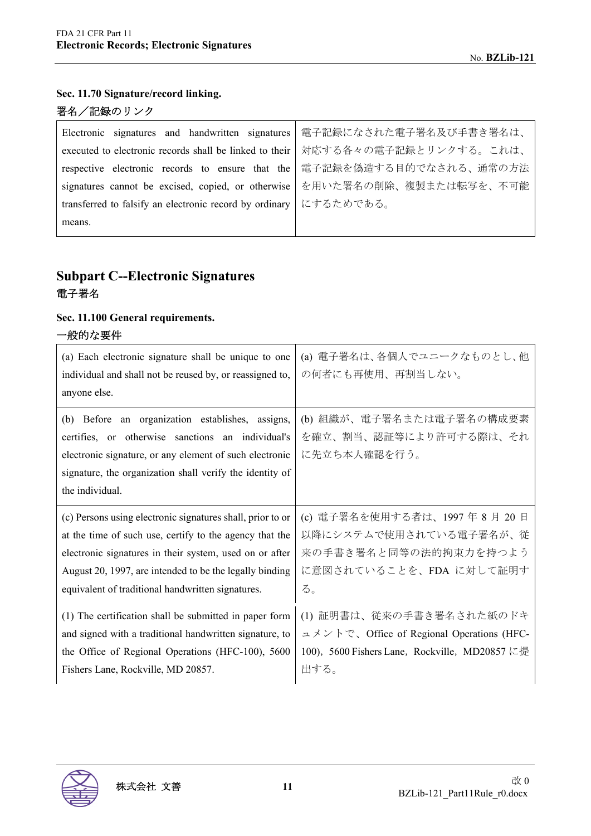## **Sec. 11.70 Signature/record linking.**

# 署名/記録のリンク

| Electronic signatures and handwritten signatures                            | 電子記録になされた電子署名及び手書き署名は、 |
|-----------------------------------------------------------------------------|------------------------|
| executed to electronic records shall be linked to their                     | 対応する各々の電子記録とリンクする。これは、 |
| respective electronic records to ensure that the   電子記録を偽造する目的でなされる、通常の方法   |                        |
| signatures cannot be excised, copied, or otherwise   を用いた署名の削除、複製または転写を、不可能 |                        |
| transferred to falsify an electronic record by ordinary   にするためである。         |                        |
| means.                                                                      |                        |

# **Subpart C--Electronic Signatures**  電子署名

## **Sec. 11.100 General requirements.**

## 一般的な要件

| (a) Each electronic signature shall be unique to one<br>individual and shall not be reused by, or reassigned to,<br>anyone else.                                                                                                                | (a) 電子署名は、各個人でユニークなものとし、他<br>の何者にも再使用、再割当しない。                                               |
|-------------------------------------------------------------------------------------------------------------------------------------------------------------------------------------------------------------------------------------------------|---------------------------------------------------------------------------------------------|
| (b) Before an organization establishes, assigns,<br>certifies, or otherwise sanctions an individual's<br>electronic signature, or any element of such electronic<br>signature, the organization shall verify the identity of<br>the individual. | (b) 組織が、電子署名または電子署名の構成要素<br>を確立、割当、認証等により許可する際は、それ<br>に先立ち本人確認を行う。                          |
| (c) Persons using electronic signatures shall, prior to or                                                                                                                                                                                      | (c) 電子署名を使用する者は、1997年8月20日                                                                  |
| at the time of such use, certify to the agency that the                                                                                                                                                                                         | 以降にシステムで使用されている電子署名が、従                                                                      |
| electronic signatures in their system, used on or after                                                                                                                                                                                         | 来の手書き署名と同等の法的拘束力を持つよう                                                                       |
| August 20, 1997, are intended to be the legally binding                                                                                                                                                                                         | に意図されていることを、FDA に対して証明す                                                                     |
| equivalent of traditional handwritten signatures.                                                                                                                                                                                               | る。                                                                                          |
| (1) The certification shall be submitted in paper form                                                                                                                                                                                          | (1) 証明書は、従来の手書き署名された紙のドキ                                                                    |
| and signed with a traditional handwritten signature, to                                                                                                                                                                                         | $\exists$ $\forall$ $\forall$ $\land$ $\forall$ $\land$ Office of Regional Operations (HFC- |
| the Office of Regional Operations (HFC-100), 5600                                                                                                                                                                                               | 100), 5600 Fishers Lane, Rockville, MD20857 に提                                              |
| Fishers Lane, Rockville, MD 20857.                                                                                                                                                                                                              | 出する。                                                                                        |

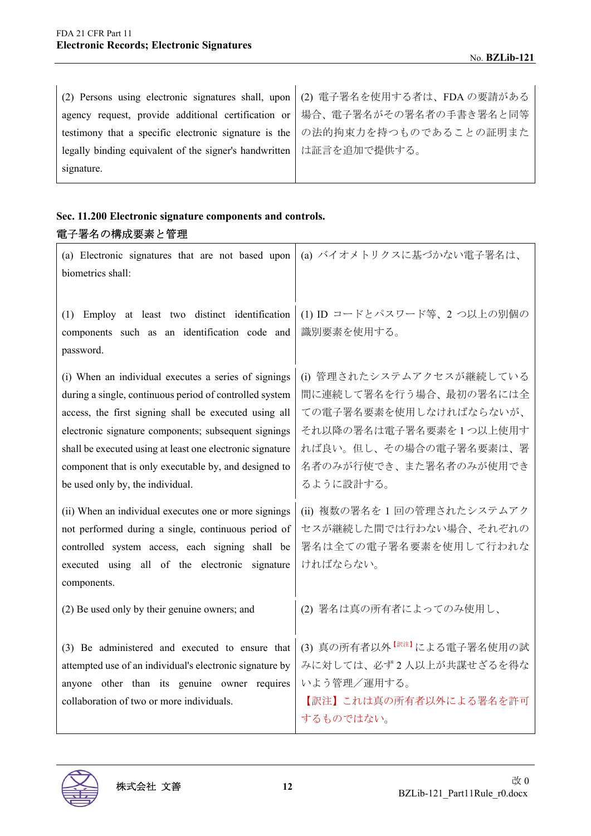| (2) Persons using electronic signatures shall, upon   (2) 電子署名を使用する者は、FDA の要請がある |  |
|----------------------------------------------------------------------------------|--|
| agency request, provide additional certification or   場合、電子署名がその署名者の手書き署名と同等     |  |
| testimony that a specific electronic signature is the の法的拘束力を持つものであることの証明また      |  |
| legally binding equivalent of the signer's handwritten   は証言を追加で提供する。            |  |
| signature.                                                                       |  |

# **Sec. 11.200 Electronic signature components and controls.**  電子署名の構成要素と管理

| (a) Electronic signatures that are not based upon   (a) バイオメトリクスに基づかない電子署名は、<br>biometrics shall:                                            |  |
|----------------------------------------------------------------------------------------------------------------------------------------------|--|
| (1) Employ at least two distinct identification  (1) ID コードとパスワード等、2 つ以上の別個の<br>  components such as an identification code and   識別要素を使用する。 |  |

(i) When an individual executes a series of signings during a single, continuous period of controlled system access, the first signing shall be executed using all electronic signature components; subsequent signings shall be executed using at least one electronic signature component that is only executable by, and designed to be used only by, the individual.

(ii) When an individual executes one or more signings not performed during a single, continuous period of controlled system access, each signing shall be executed using all of the electronic signature components.

(2) Be used only by their genuine owners; and (2) 署名は真の所有者によってのみ使用し、

(3) Be administered and executed to ensure that attempted use of an individual's electronic signature by anyone other than its genuine owner requires collaboration of two or more individuals.

# (1) ID コードとパスワード等、2 つ以上の別個の 識別要素を使用する。

(i) 管理されたシステムアクセスが継続している 間に連続して署名を行う場合、最初の署名には全 ての電子署名要素を使用しなければならないが、 それ以降の署名は電子署名要素を 1 つ以上使用す れば良い。但し、その場合の電子署名要素は、署 名者のみが行使でき、また署名者のみが使用でき るように設計する。

(ii) 複数の署名を 1 回の管理されたシステムアク セスが継続した間では行わない場合、それぞれの 署名は全ての電子署名要素を使用して行われな ければならない。

(3) 真の所有者以外【訳注】による電子署名使用の試 みに対しては、必ず2人以上が共謀せざるを得な いよう管理/運用する。

【訳注】これは真の所有者以外による署名を許可 するものではない。



password.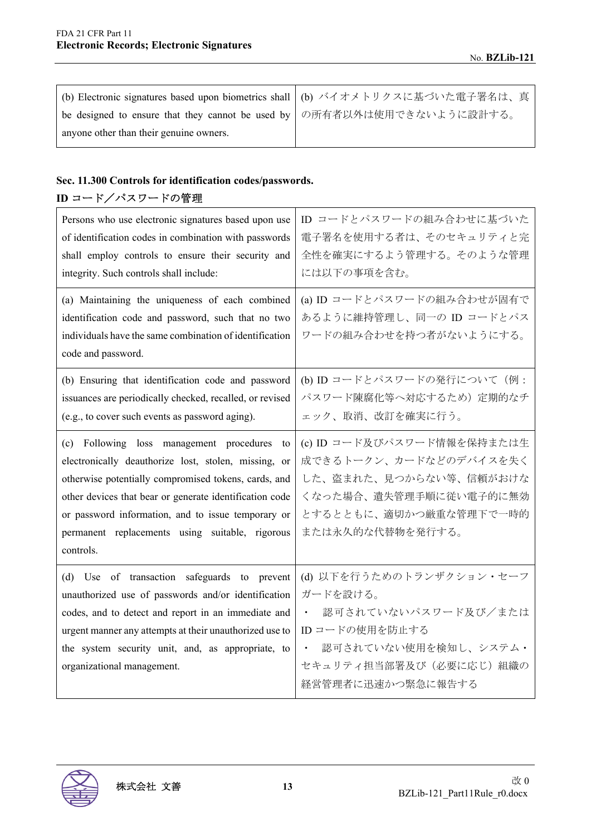|                                                                           | (b) Electronic signatures based upon biometrics shall   (b) バイオメトリクスに基づいた電子署名は、真 |
|---------------------------------------------------------------------------|----------------------------------------------------------------------------------|
| be designed to ensure that they cannot be used by   の所有者以外は使用できないように設計する。 |                                                                                  |
| anyone other than their genuine owners.                                   |                                                                                  |

## **Sec. 11.300 Controls for identification codes/passwords.**

# **ID** コード/パスワードの管理

| Persons who use electronic signatures based upon use<br>of identification codes in combination with passwords<br>shall employ controls to ensure their security and<br>integrity. Such controls shall include:<br>(a) Maintaining the uniqueness of each combined<br>identification code and password, such that no two<br>individuals have the same combination of identification<br>code and password. | ID コードとパスワードの組み合わせに基づいた<br>電子署名を使用する者は、そのセキュリティと完<br>全性を確実にするよう管理する。そのような管理<br>には以下の事項を含む。<br>(a) ID コードとパスワードの組み合わせが固有で<br>あるように維持管理し、同一の ID コードとパス<br>ワードの組み合わせを持つ者がないようにする。 |
|----------------------------------------------------------------------------------------------------------------------------------------------------------------------------------------------------------------------------------------------------------------------------------------------------------------------------------------------------------------------------------------------------------|--------------------------------------------------------------------------------------------------------------------------------------------------------------------------------|
| (b) Ensuring that identification code and password<br>issuances are periodically checked, recalled, or revised<br>(e.g., to cover such events as password aging).                                                                                                                                                                                                                                        | (b) ID コードとパスワードの発行について (例:<br>パスワード陳腐化等へ対応するため) 定期的なチ<br>ェック、取消、改訂を確実に行う。                                                                                                     |
| (c) Following loss management procedures<br>to<br>electronically deauthorize lost, stolen, missing, or<br>otherwise potentially compromised tokens, cards, and<br>other devices that bear or generate identification code<br>or password information, and to issue temporary or<br>permanent replacements using suitable, rigorous<br>controls.                                                          | (c) ID コード及びパスワード情報を保持または生<br>成できるトークン、カードなどのデバイスを失く<br>した、盗まれた、見つからない等、信頼がおけな<br>くなった場合、遺失管理手順に従い電子的に無効<br>とするとともに、適切かつ厳重な管理下で一時的<br>または永久的な代替物を発行する。                         |
| (d) Use of transaction safeguards to prevent<br>unauthorized use of passwords and/or identification<br>codes, and to detect and report in an immediate and<br>urgent manner any attempts at their unauthorized use to<br>the system security unit, and, as appropriate, to<br>organizational management.                                                                                                 | (d) 以下を行うためのトランザクション・セーフ<br>ガードを設ける。<br>認可されていないパスワード及び/または<br>$\bullet$ .<br>IDコードの使用を防止する<br>認可されていない使用を検知し、システム・<br>セキュリティ担当部署及び(必要に応じ)組織の<br>経営管理者に迅速かつ緊急に報告する             |